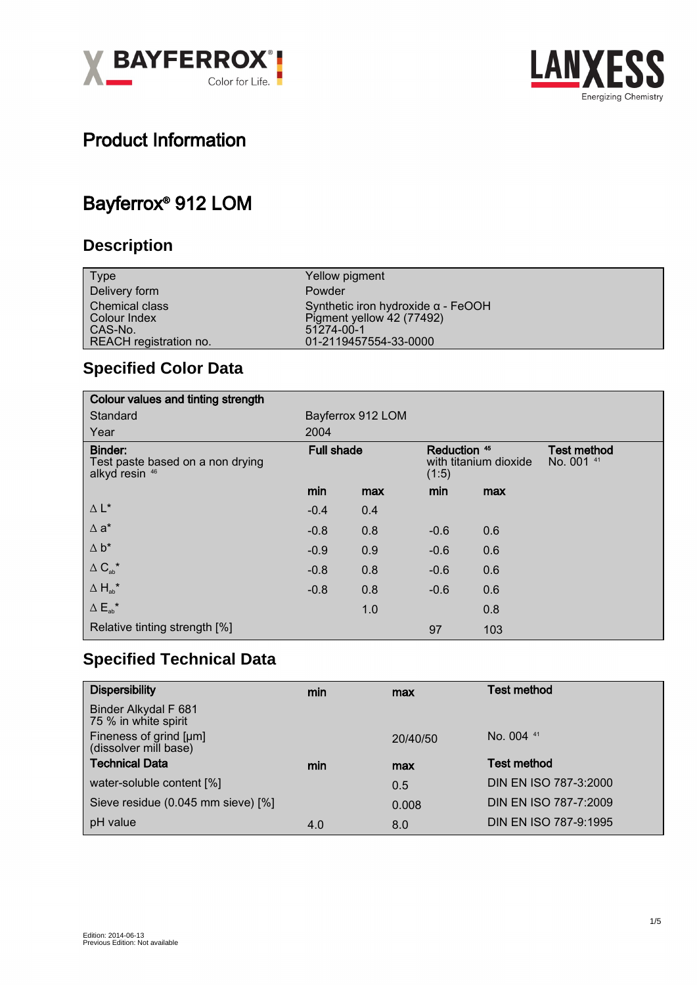



## Product Information

## Bayferrox® 912 LOM

### **Description**

| <b>Type</b>                       | Yellow pigment                                                         |
|-----------------------------------|------------------------------------------------------------------------|
| Delivery form                     | Powder                                                                 |
| Chemical class<br>Colour Index    | Synthetic iron hydroxide $\alpha$ - FeOOH<br>Pigment yellow 42 (77492) |
| CAS-No.<br>REACH registration no. | 51274-00-1<br>01-2119457554-33-0000                                    |
|                                   |                                                                        |

### **Specified Color Data**

| Colour values and tinting strength                            |                   |     |                                                |     |                                  |
|---------------------------------------------------------------|-------------------|-----|------------------------------------------------|-----|----------------------------------|
| Standard                                                      | Bayferrox 912 LOM |     |                                                |     |                                  |
| Year                                                          | 2004              |     |                                                |     |                                  |
| Binder:<br>Test paste based on a non drying<br>alkyd resin 46 | <b>Full shade</b> |     | Reduction 45<br>with titanium dioxide<br>(1:5) |     | <b>Test method</b><br>No. 001 41 |
|                                                               | min               | max | min                                            | max |                                  |
| $\Delta L^*$                                                  | $-0.4$            | 0.4 |                                                |     |                                  |
| $\Delta$ a <sup>*</sup>                                       | $-0.8$            | 0.8 | $-0.6$                                         | 0.6 |                                  |
| $\Delta b^*$                                                  | $-0.9$            | 0.9 | $-0.6$                                         | 0.6 |                                  |
| $\Delta$ C <sub>ab</sub> <sup>*</sup>                         | $-0.8$            | 0.8 | $-0.6$                                         | 0.6 |                                  |
| $\Delta H_{ab}^{\star}$                                       | $-0.8$            | 0.8 | $-0.6$                                         | 0.6 |                                  |
| $\Delta E_{ab}^{\star}$                                       |                   | 1.0 |                                                | 0.8 |                                  |
| Relative tinting strength [%]                                 |                   |     | 97                                             | 103 |                                  |

### **Specified Technical Data**

| <b>Dispersibility</b>                           | min | max      | <b>Test method</b>      |
|-------------------------------------------------|-----|----------|-------------------------|
| Binder Alkydal F 681<br>75 % in white spirit    |     |          |                         |
| Fineness of grind [µm]<br>(dissolver mill base) |     | 20/40/50 | No. $004$ <sup>41</sup> |
| <b>Technical Data</b>                           | min | max      | <b>Test method</b>      |
| water-soluble content [%]                       |     | 0.5      | DIN EN ISO 787-3:2000   |
| Sieve residue (0.045 mm sieve) [%]              |     | 0.008    | DIN EN ISO 787-7:2009   |
| pH value                                        | 4.0 | 8.0      | DIN EN ISO 787-9:1995   |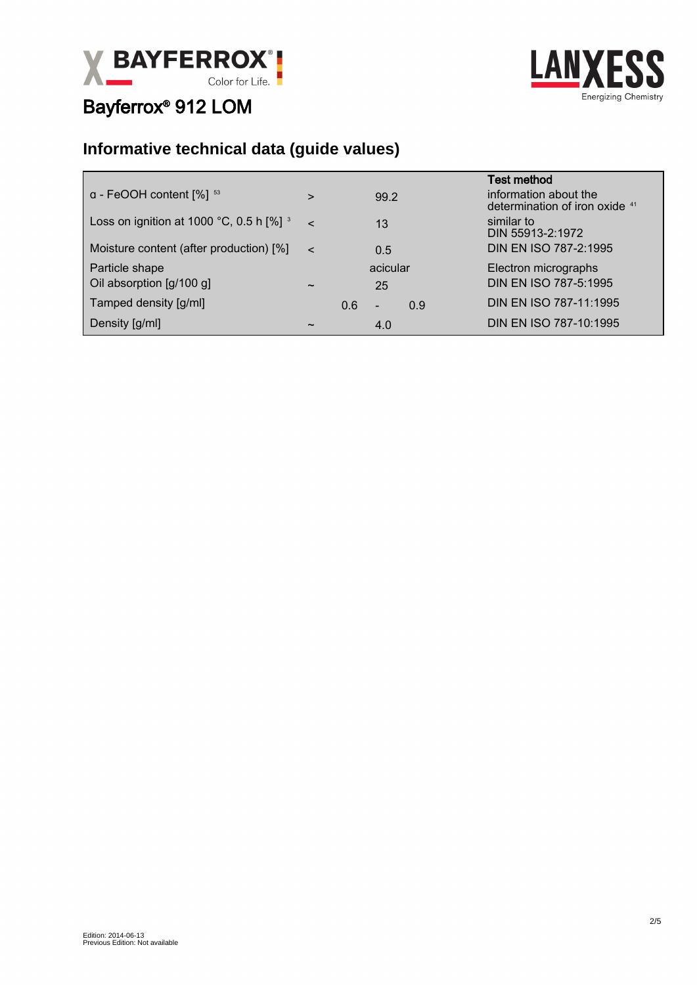



### **Informative technical data (guide values)**

|                                                                   |                       |     |                          |     | <b>Test method</b>                                      |
|-------------------------------------------------------------------|-----------------------|-----|--------------------------|-----|---------------------------------------------------------|
| $a$ - FeOOH content $[%]$ <sup>53</sup>                           | $\geq$                |     | 99.2                     |     | information about the<br>determination of iron oxide 41 |
| Loss on ignition at 1000 °C, 0.5 h $\lceil\% \rceil$ <sup>3</sup> | $\sim$                |     | 13                       |     | similar to<br>DIN 55913-2:1972                          |
| Moisture content (after production) [%]                           | $\epsilon$            |     | 0.5                      |     | DIN EN ISO 787-2:1995                                   |
| Particle shape                                                    |                       |     | acicular                 |     | Electron micrographs                                    |
| Oil absorption [g/100 g]                                          | $\tilde{\phantom{a}}$ |     | 25                       |     | DIN EN ISO 787-5:1995                                   |
| Tamped density [g/ml]                                             |                       | 0.6 | $\overline{\phantom{a}}$ | 0.9 | DIN EN ISO 787-11:1995                                  |
| Density [g/ml]                                                    | $\tilde{\phantom{a}}$ |     | 4.0                      |     | DIN EN ISO 787-10:1995                                  |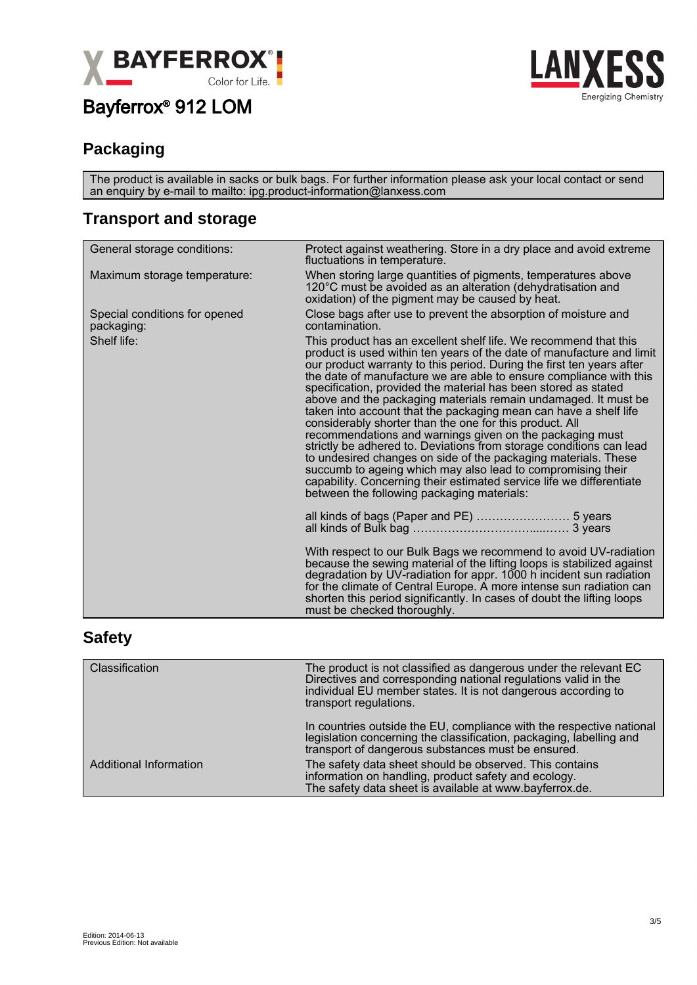



#### **Packaging**

The product is available in sacks or bulk bags. For further information please ask your local contact or send an enquiry by e-mail to mailto: ipg.product-information@lanxess.com

#### **Transport and storage**

| General storage conditions:                 | Protect against weathering. Store in a dry place and avoid extreme<br>fluctuations in temperature.                                                                                                                                                                                                                                                                                                                                                                                                                                                                                                                                                                                                                                                                                                                                                                                                                                                    |  |  |
|---------------------------------------------|-------------------------------------------------------------------------------------------------------------------------------------------------------------------------------------------------------------------------------------------------------------------------------------------------------------------------------------------------------------------------------------------------------------------------------------------------------------------------------------------------------------------------------------------------------------------------------------------------------------------------------------------------------------------------------------------------------------------------------------------------------------------------------------------------------------------------------------------------------------------------------------------------------------------------------------------------------|--|--|
| Maximum storage temperature:                | When storing large quantities of pigments, temperatures above<br>120°C must be avoided as an alteration (dehydratisation and<br>oxidation) of the pigment may be caused by heat.                                                                                                                                                                                                                                                                                                                                                                                                                                                                                                                                                                                                                                                                                                                                                                      |  |  |
| Special conditions for opened<br>packaging: | Close bags after use to prevent the absorption of moisture and<br>contamination.                                                                                                                                                                                                                                                                                                                                                                                                                                                                                                                                                                                                                                                                                                                                                                                                                                                                      |  |  |
| Shelf life:                                 | This product has an excellent shelf life. We recommend that this<br>product is used within ten years of the date of manufacture and limit<br>our product warranty to this period. During the first ten years after<br>the date of manufacture we are able to ensure compliance with this<br>specification, provided the material has been stored as stated<br>above and the packaging materials remain undamaged. It must be<br>taken into account that the packaging mean can have a shelf life<br>considerably shorter than the one for this product. All<br>recommendations and warnings given on the packaging must<br>strictly be adhered to. Deviations from storage conditions can lead<br>to undesired changes on side of the packaging materials. These<br>succumb to ageing which may also lead to compromising their<br>capability. Concerning their estimated service life we differentiate<br>between the following packaging materials: |  |  |
|                                             |                                                                                                                                                                                                                                                                                                                                                                                                                                                                                                                                                                                                                                                                                                                                                                                                                                                                                                                                                       |  |  |
|                                             | With respect to our Bulk Bags we recommend to avoid UV-radiation<br>because the sewing material of the lifting loops is stabilized against<br>degradation by UV-radiation for appr. 1000 h incident sun radiation<br>for the climate of Central Europe. A more intense sun radiation can<br>shorten this period significantly. In cases of doubt the lifting loops<br>must be checked thoroughly.                                                                                                                                                                                                                                                                                                                                                                                                                                                                                                                                                     |  |  |
|                                             |                                                                                                                                                                                                                                                                                                                                                                                                                                                                                                                                                                                                                                                                                                                                                                                                                                                                                                                                                       |  |  |

#### **Safety**

| Classification                | The product is not classified as dangerous under the relevant EC<br>Directives and corresponding national regulations valid in the<br>individual EU member states. It is not dangerous according to<br>transport regulations. |
|-------------------------------|-------------------------------------------------------------------------------------------------------------------------------------------------------------------------------------------------------------------------------|
|                               | In countries outside the EU, compliance with the respective national<br>legislation concerning the classification, packaging, labelling and<br>transport of dangerous substances must be ensured.                             |
| <b>Additional Information</b> | The safety data sheet should be observed. This contains<br>information on handling, product safety and ecology.<br>The safety data sheet is available at www.bayferrox.de.                                                    |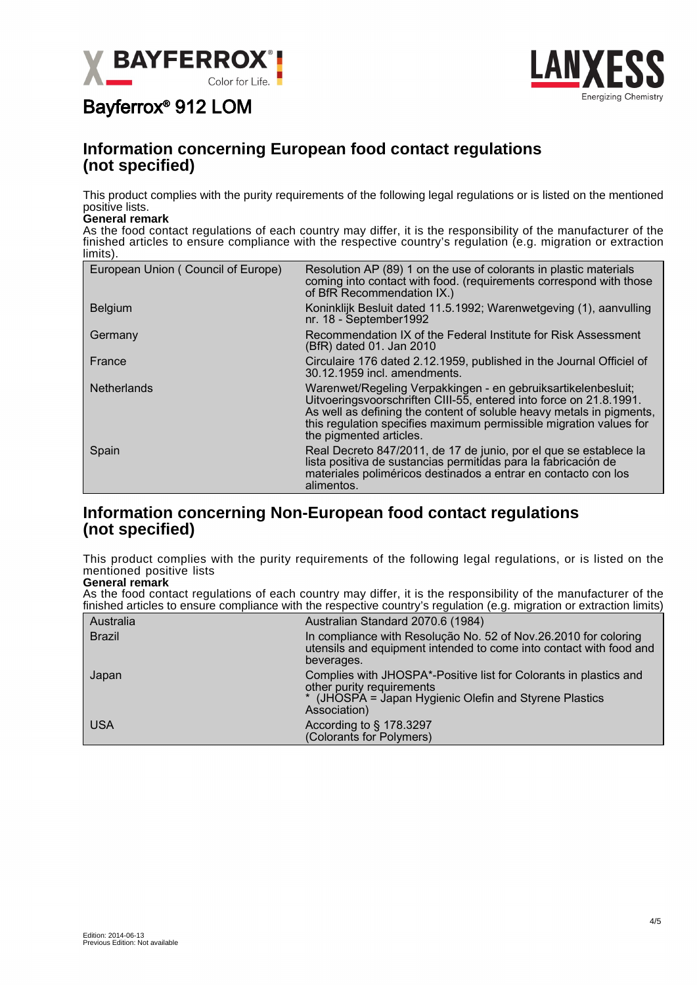



#### **Information concerning European food contact regulations (not specified)**

This product complies with the purity requirements of the following legal regulations or is listed on the mentioned positive lists.

#### **General remark**

As the food contact regulations of each country may differ, it is the responsibility of the manufacturer of the finished articles to ensure compliance with the respective country's regulation (e.g. migration or extraction limits).

| European Union (Council of Europe) | Resolution AP (89) 1 on the use of colorants in plastic materials<br>coming into contact with food. (requirements correspond with those<br>of BfR Recommendation IX.)                                                                                                                                        |
|------------------------------------|--------------------------------------------------------------------------------------------------------------------------------------------------------------------------------------------------------------------------------------------------------------------------------------------------------------|
| <b>Belgium</b>                     | Koninklijk Besluit dated 11.5.1992; Warenwetgeving (1), aanvulling<br>nr. 18 - September1992                                                                                                                                                                                                                 |
| Germany                            | Recommendation IX of the Federal Institute for Risk Assessment<br>(BfR) dated 01. Jan 2010                                                                                                                                                                                                                   |
| France                             | Circulaire 176 dated 2.12.1959, published in the Journal Officiel of<br>30.12.1959 incl. amendments.                                                                                                                                                                                                         |
| <b>Netherlands</b>                 | Warenwet/Regeling Verpakkingen - en gebruiksartikelenbesluit;<br>Uitvoeringsvoorschriften CIII-55, entered into force on 21.8.1991.<br>As well as defining the content of soluble heavy metals in pigments,<br>this regulation specifies maximum permissible migration values for<br>the pigmented articles. |
| Spain                              | Real Decreto 847/2011, de 17 de junio, por el que se establece la<br>lista positiva de sustancias permitidas para la fabricación de<br>materiales poliméricos destinados a entrar en contacto con los<br>alimentos.                                                                                          |

#### **Information concerning Non-European food contact regulations (not specified)**

This product complies with the purity requirements of the following legal regulations, or is listed on the mentioned positive lists

**General remark** As the food contact regulations of each country may differ, it is the responsibility of the manufacturer of the finished articles to ensure compliance with the respective country's regulation (e.g. migration or extraction limits)

|               | mnonca annoico to choarc compilance with the respective country o regulation (e.g. migration or extraction immo)                                                         |
|---------------|--------------------------------------------------------------------------------------------------------------------------------------------------------------------------|
| Australia     | Australian Standard 2070.6 (1984)                                                                                                                                        |
| <b>Brazil</b> | In compliance with Resolução No. 52 of Nov.26.2010 for coloring<br>utensils and equipment intended to come into contact with food and<br>beverages.                      |
| Japan         | Complies with JHOSPA*-Positive list for Colorants in plastics and<br>other purity requirements<br>* (JHOSPA = Japan Hygienic Olefin and Styrene Plastics<br>Association) |
| <b>USA</b>    | According to § 178.3297<br>(Colorants for Polymers)                                                                                                                      |